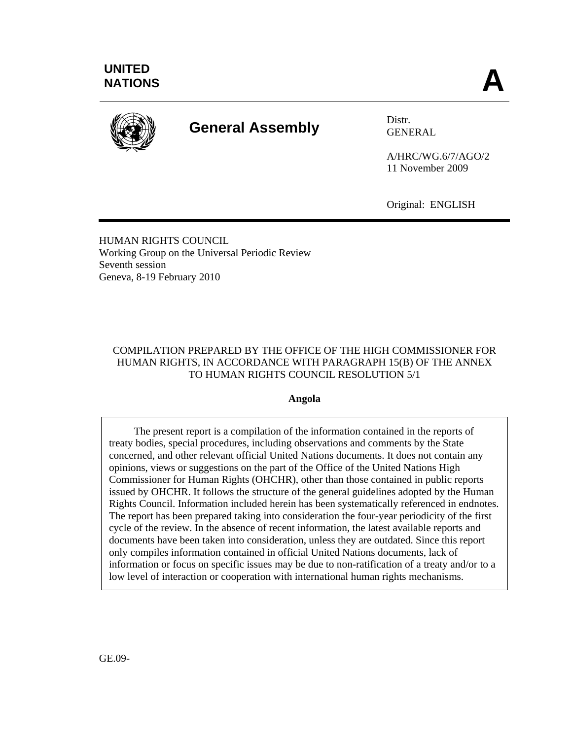

# **General Assembly** Distr.

GENERAL

A/HRC/WG.6/7/AGO/2 11 November 2009

Original: ENGLISH

HUMAN RIGHTS COUNCIL Working Group on the Universal Periodic Review Seventh session Geneva, 8-19 February 2010

# COMPILATION PREPARED BY THE OFFICE OF THE HIGH COMMISSIONER FOR HUMAN RIGHTS, IN ACCORDANCE WITH PARAGRAPH 15(B) OF THE ANNEX TO HUMAN RIGHTS COUNCIL RESOLUTION 5/1

## **Angola**

The present report is a compilation of the information contained in the reports of treaty bodies, special procedures, including observations and comments by the State concerned, and other relevant official United Nations documents. It does not contain any opinions, views or suggestions on the part of the Office of the United Nations High Commissioner for Human Rights (OHCHR), other than those contained in public reports issued by OHCHR. It follows the structure of the general guidelines adopted by the Human Rights Council. Information included herein has been systematically referenced in endnotes. The report has been prepared taking into consideration the four-year periodicity of the first cycle of the review. In the absence of recent information, the latest available reports and documents have been taken into consideration, unless they are outdated. Since this report only compiles information contained in official United Nations documents, lack of information or focus on specific issues may be due to non-ratification of a treaty and/or to a low level of interaction or cooperation with international human rights mechanisms.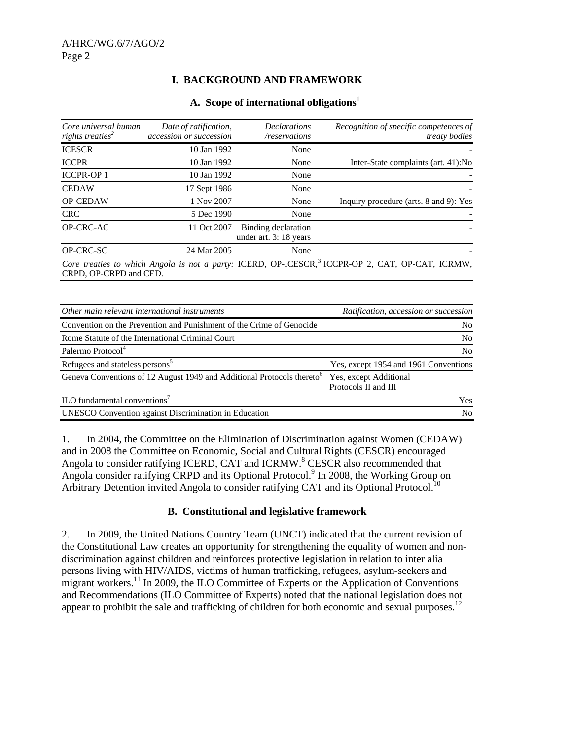# **I. BACKGROUND AND FRAMEWORK**

#### **A. Scope of international obligations**<sup>1</sup>

| Core universal human<br>rights treaties <sup>2</sup> | Date of ratification,<br>accession or succession | <b>Declarations</b><br>/reservations          | Recognition of specific competences of<br><i>treaty bodies</i>                                               |
|------------------------------------------------------|--------------------------------------------------|-----------------------------------------------|--------------------------------------------------------------------------------------------------------------|
| <b>ICESCR</b>                                        | 10 Jan 1992                                      | None                                          |                                                                                                              |
| <b>ICCPR</b>                                         | 10 Jan 1992                                      | None                                          | Inter-State complaints (art. 41):No                                                                          |
| <b>ICCPR-OP1</b>                                     | 10 Jan 1992                                      | None                                          |                                                                                                              |
| <b>CEDAW</b>                                         | 17 Sept 1986                                     | None                                          |                                                                                                              |
| <b>OP-CEDAW</b>                                      | 1 Nov 2007                                       | None                                          | Inquiry procedure (arts. 8 and 9): Yes                                                                       |
| <b>CRC</b>                                           | 5 Dec 1990                                       | None                                          |                                                                                                              |
| OP-CRC-AC                                            | 11 Oct 2007                                      | Binding declaration<br>under art. 3: 18 years |                                                                                                              |
| OP-CRC-SC                                            | 24 Mar 2005                                      | None                                          |                                                                                                              |
| CRPD, OP-CRPD and CED.                               |                                                  |                                               | Core treaties to which Angola is not a party: ICERD, OP-ICESCR, <sup>3</sup> ICCPR-OP 2, CAT, OP-CAT, ICRMW, |

| Other main relevant international instruments                                      | Ratification, accession or succession          |
|------------------------------------------------------------------------------------|------------------------------------------------|
| Convention on the Prevention and Punishment of the Crime of Genocide               | N <sub>0</sub>                                 |
| Rome Statute of the International Criminal Court                                   | N <sub>0</sub>                                 |
| Palermo Protocol <sup>4</sup>                                                      | N <sub>0</sub>                                 |
| Refugees and stateless persons <sup>5</sup>                                        | Yes, except 1954 and 1961 Conventions          |
| Geneva Conventions of 12 August 1949 and Additional Protocols thereto <sup>6</sup> | Yes, except Additional<br>Protocols II and III |
| ILO fundamental conventions <sup>7</sup>                                           | <b>Yes</b>                                     |
| <b>UNESCO</b> Convention against Discrimination in Education                       | N <sub>0</sub>                                 |

1. In 2004, the Committee on the Elimination of Discrimination against Women (CEDAW) and in 2008 the Committee on Economic, Social and Cultural Rights (CESCR) encouraged Angola to consider ratifying ICERD, CAT and ICRMW.<sup>8</sup> CESCR also recommended that Angola consider ratifying CRPD and its Optional Protocol.<sup>9</sup> In 2008, the Working Group on Arbitrary Detention invited Angola to consider ratifying CAT and its Optional Protocol.<sup>10</sup>

#### **B. Constitutional and legislative framework**

2. In 2009, the United Nations Country Team (UNCT) indicated that the current revision of the Constitutional Law creates an opportunity for strengthening the equality of women and nondiscrimination against children and reinforces protective legislation in relation to inter alia persons living with HIV/AIDS, victims of human trafficking, refugees, asylum-seekers and migrant workers.<sup>11</sup> In 2009, the ILO Committee of Experts on the Application of Conventions and Recommendations (ILO Committee of Experts) noted that the national legislation does not appear to prohibit the sale and trafficking of children for both economic and sexual purposes.<sup>12</sup>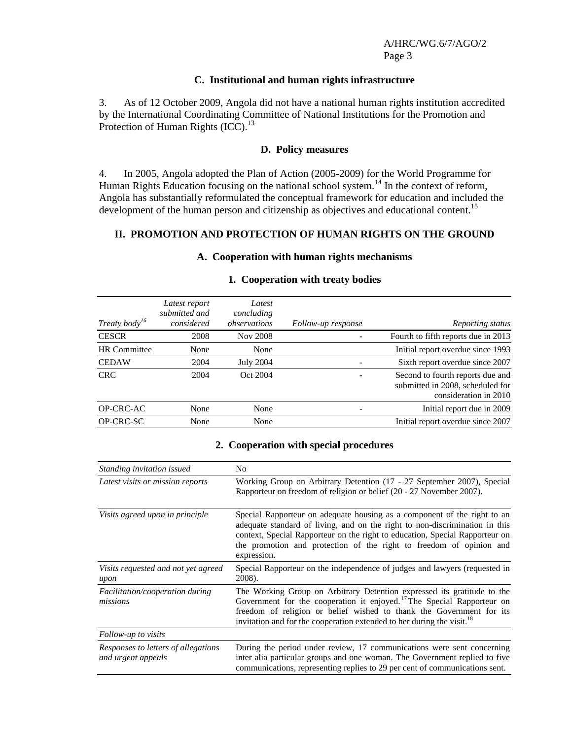#### **C. Institutional and human rights infrastructure**

3. As of 12 October 2009, Angola did not have a national human rights institution accredited by the International Coordinating Committee of National Institutions for the Promotion and Protection of Human Rights (ICC).<sup>13</sup>

#### **D. Policy measures**

4. In 2005, Angola adopted the Plan of Action (2005-2009) for the World Programme for Human Rights Education focusing on the national school system.<sup>14</sup> In the context of reform, Angola has substantially reformulated the conceptual framework for education and included the development of the human person and citizenship as objectives and educational content.<sup>15</sup>

#### **II. PROMOTION AND PROTECTION OF HUMAN RIGHTS ON THE GROUND**

| Treaty body <sup>16</sup> | Latest report<br>submitted and<br>considered | Latest<br>concluding<br>observations | Follow-up response | Reporting status                                                                              |
|---------------------------|----------------------------------------------|--------------------------------------|--------------------|-----------------------------------------------------------------------------------------------|
| <b>CESCR</b>              | 2008                                         | Nov 2008                             |                    | Fourth to fifth reports due in 2013                                                           |
| <b>HR</b> Committee       | None                                         | None                                 |                    | Initial report overdue since 1993                                                             |
| <b>CEDAW</b>              | 2004                                         | <b>July 2004</b>                     |                    | Sixth report overdue since 2007                                                               |
| <b>CRC</b>                | 2004                                         | Oct 2004                             |                    | Second to fourth reports due and<br>submitted in 2008, scheduled for<br>consideration in 2010 |
| OP-CRC-AC                 | None                                         | None                                 |                    | Initial report due in 2009                                                                    |
| OP-CRC-SC                 | None                                         | None                                 |                    | Initial report overdue since 2007                                                             |

#### **A. Cooperation with human rights mechanisms**

#### **1. Cooperation with treaty bodies**

#### **2. Cooperation with special procedures**

| Standing invitation issued                                | N <sub>0</sub>                                                                                                                                                                                                                                                                                                                |  |  |
|-----------------------------------------------------------|-------------------------------------------------------------------------------------------------------------------------------------------------------------------------------------------------------------------------------------------------------------------------------------------------------------------------------|--|--|
| Latest visits or mission reports                          | Working Group on Arbitrary Detention (17 - 27 September 2007), Special<br>Rapporteur on freedom of religion or belief (20 - 27 November 2007).                                                                                                                                                                                |  |  |
| Visits agreed upon in principle                           | Special Rapporteur on adequate housing as a component of the right to an<br>adequate standard of living, and on the right to non-discrimination in this<br>context, Special Rapporteur on the right to education, Special Rapporteur on<br>the promotion and protection of the right to freedom of opinion and<br>expression. |  |  |
| Visits requested and not yet agreed<br>upon               | Special Rapporteur on the independence of judges and lawyers (requested in<br>2008).                                                                                                                                                                                                                                          |  |  |
| Facilitation/cooperation during<br>missions               | The Working Group on Arbitrary Detention expressed its gratitude to the<br>Government for the cooperation it enjoyed. <sup>17</sup> The Special Rapporteur on<br>freedom of religion or belief wished to thank the Government for its<br>invitation and for the cooperation extended to her during the visit. <sup>18</sup>   |  |  |
| Follow-up to visits                                       |                                                                                                                                                                                                                                                                                                                               |  |  |
| Responses to letters of allegations<br>and urgent appeals | During the period under review, 17 communications were sent concerning<br>inter alia particular groups and one woman. The Government replied to five<br>communications, representing replies to 29 per cent of communications sent.                                                                                           |  |  |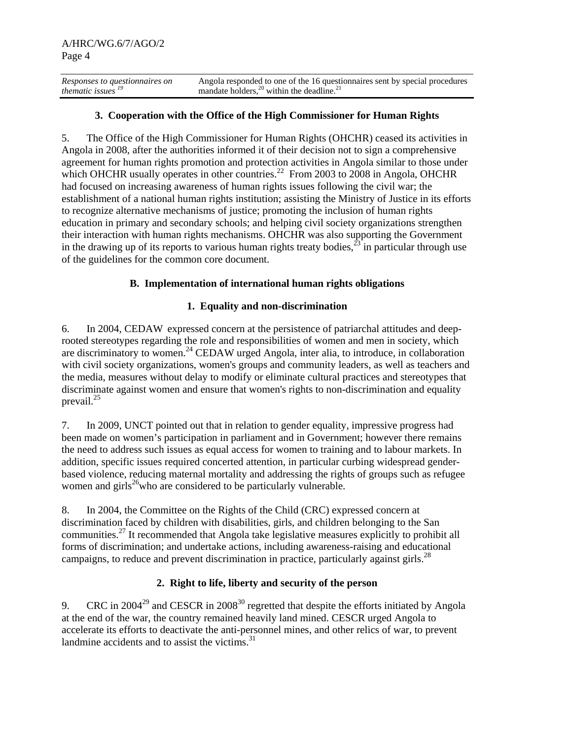*Responses to questionnaires on thematic issues 19* Angola responded to one of the 16 questionnaires sent by special procedures mandate holders, $^{20}$  within the deadline. $^{21}$ 

# **3. Cooperation with the Office of the High Commissioner for Human Rights**

5. The Office of the High Commissioner for Human Rights (OHCHR) ceased its activities in Angola in 2008, after the authorities informed it of their decision not to sign a comprehensive agreement for human rights promotion and protection activities in Angola similar to those under which OHCHR usually operates in other countries.<sup>22</sup> From 2003 to 2008 in Angola, OHCHR had focused on increasing awareness of human rights issues following the civil war; the establishment of a national human rights institution; assisting the Ministry of Justice in its efforts to recognize alternative mechanisms of justice; promoting the inclusion of human rights education in primary and secondary schools; and helping civil society organizations strengthen their interaction with human rights mechanisms. OHCHR was also supporting the Government in the drawing up of its reports to various human rights treaty bodies,<sup>23</sup> in particular through use of the guidelines for the common core document.

#### **B. Implementation of international human rights obligations**

## **1. Equality and non-discrimination**

6. In 2004, CEDAW expressed concern at the persistence of patriarchal attitudes and deeprooted stereotypes regarding the role and responsibilities of women and men in society, which are discriminatory to women.<sup>24</sup> CEDAW urged Angola, inter alia, to introduce, in collaboration with civil society organizations, women's groups and community leaders, as well as teachers and the media, measures without delay to modify or eliminate cultural practices and stereotypes that discriminate against women and ensure that women's rights to non-discrimination and equality prevail.<sup>25</sup>

7. In 2009, UNCT pointed out that in relation to gender equality, impressive progress had been made on women's participation in parliament and in Government; however there remains the need to address such issues as equal access for women to training and to labour markets. In addition, specific issues required concerted attention, in particular curbing widespread genderbased violence, reducing maternal mortality and addressing the rights of groups such as refugee women and girls<sup>26</sup>who are considered to be particularly vulnerable.

8. In 2004, the Committee on the Rights of the Child (CRC) expressed concern at discrimination faced by children with disabilities, girls, and children belonging to the San communities.<sup>27</sup> It recommended that Angola take legislative measures explicitly to prohibit all forms of discrimination; and undertake actions, including awareness-raising and educational campaigns, to reduce and prevent discrimination in practice, particularly against girls.<sup>28</sup>

## **2. Right to life, liberty and security of the person**

9. CRC in  $2004^{29}$  and CESCR in  $2008^{30}$  regretted that despite the efforts initiated by Angola at the end of the war, the country remained heavily land mined. CESCR urged Angola to accelerate its efforts to deactivate the anti-personnel mines, and other relics of war, to prevent landmine accidents and to assist the victims. $31$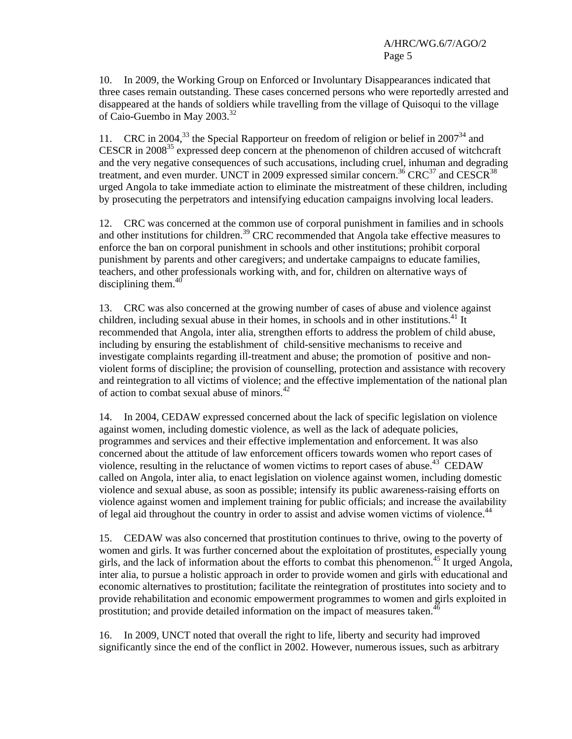10. In 2009, the Working Group on Enforced or Involuntary Disappearances indicated that three cases remain outstanding. These cases concerned persons who were reportedly arrested and disappeared at the hands of soldiers while travelling from the village of Quisoqui to the village of Caio-Guembo in May 2003.<sup>32</sup>

11. CRC in 2004,<sup>33</sup> the Special Rapporteur on freedom of religion or belief in 2007<sup>34</sup> and CESCR in  $2008^{35}$  expressed deep concern at the phenomenon of children accused of witchcraft and the very negative consequences of such accusations, including cruel, inhuman and degrading treatment, and even murder. UNCT in 2009 expressed similar concern.<sup>36</sup> CRC<sup>37</sup> and CESCR<sup>38</sup> urged Angola to take immediate action to eliminate the mistreatment of these children, including by prosecuting the perpetrators and intensifying education campaigns involving local leaders.

12. CRC was concerned at the common use of corporal punishment in families and in schools and other institutions for children.<sup>39</sup> CRC recommended that Angola take effective measures to enforce the ban on corporal punishment in schools and other institutions; prohibit corporal punishment by parents and other caregivers; and undertake campaigns to educate families, teachers, and other professionals working with, and for, children on alternative ways of disciplining them. $40$ 

13. CRC was also concerned at the growing number of cases of abuse and violence against children, including sexual abuse in their homes, in schools and in other institutions.<sup>41</sup> It recommended that Angola, inter alia, strengthen efforts to address the problem of child abuse, including by ensuring the establishment of child-sensitive mechanisms to receive and investigate complaints regarding ill-treatment and abuse; the promotion of positive and nonviolent forms of discipline; the provision of counselling, protection and assistance with recovery and reintegration to all victims of violence; and the effective implementation of the national plan of action to combat sexual abuse of minors.<sup>42</sup>

14. In 2004, CEDAW expressed concerned about the lack of specific legislation on violence against women, including domestic violence, as well as the lack of adequate policies, programmes and services and their effective implementation and enforcement. It was also concerned about the attitude of law enforcement officers towards women who report cases of violence, resulting in the reluctance of women victims to report cases of abuse. $43^{\circ}$  CEDAW called on Angola, inter alia, to enact legislation on violence against women, including domestic violence and sexual abuse, as soon as possible; intensify its public awareness-raising efforts on violence against women and implement training for public officials; and increase the availability of legal aid throughout the country in order to assist and advise women victims of violence.<sup>44</sup>

15. CEDAW was also concerned that prostitution continues to thrive, owing to the poverty of women and girls. It was further concerned about the exploitation of prostitutes, especially young girls, and the lack of information about the efforts to combat this phenomenon.45 It urged Angola, inter alia, to pursue a holistic approach in order to provide women and girls with educational and economic alternatives to prostitution; facilitate the reintegration of prostitutes into society and to provide rehabilitation and economic empowerment programmes to women and girls exploited in prostitution; and provide detailed information on the impact of measures taken.<sup>46</sup>

16. In 2009, UNCT noted that overall the right to life, liberty and security had improved significantly since the end of the conflict in 2002. However, numerous issues, such as arbitrary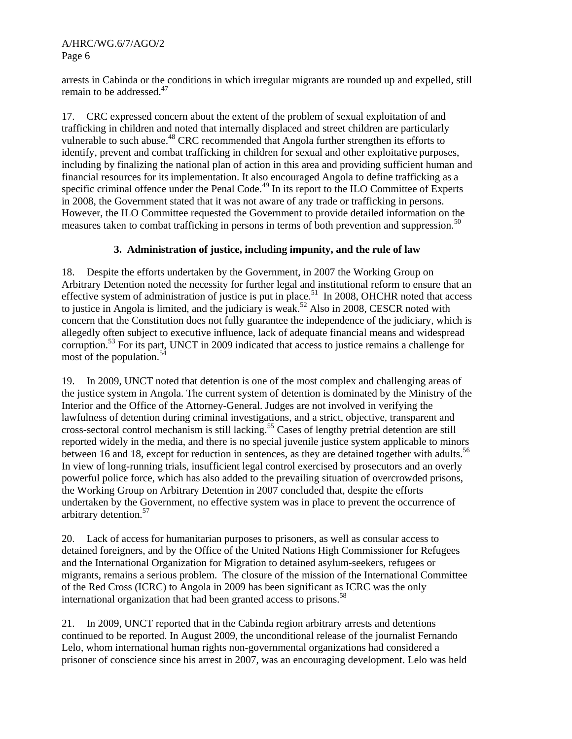arrests in Cabinda or the conditions in which irregular migrants are rounded up and expelled, still remain to be addressed.<sup>47</sup>

17. CRC expressed concern about the extent of the problem of sexual exploitation of and trafficking in children and noted that internally displaced and street children are particularly vulnerable to such abuse.<sup>48</sup> CRC recommended that Angola further strengthen its efforts to identify, prevent and combat trafficking in children for sexual and other exploitative purposes, including by finalizing the national plan of action in this area and providing sufficient human and financial resources for its implementation. It also encouraged Angola to define trafficking as a specific criminal offence under the Penal Code.<sup>49</sup> In its report to the ILO Committee of Experts in 2008, the Government stated that it was not aware of any trade or trafficking in persons. However, the ILO Committee requested the Government to provide detailed information on the measures taken to combat trafficking in persons in terms of both prevention and suppression.<sup>50</sup>

# **3. Administration of justice, including impunity, and the rule of law**

18. Despite the efforts undertaken by the Government, in 2007 the Working Group on Arbitrary Detention noted the necessity for further legal and institutional reform to ensure that an effective system of administration of justice is put in place.<sup>51</sup> In 2008, OHCHR noted that access to justice in Angola is limited, and the judiciary is weak.<sup>52</sup> Also in 2008, CESCR noted with concern that the Constitution does not fully guarantee the independence of the judiciary, which is allegedly often subject to executive influence, lack of adequate financial means and widespread corruption.<sup>53</sup> For its part, UNCT in 2009 indicated that access to justice remains a challenge for most of the population.<sup>54</sup>

19. In 2009, UNCT noted that detention is one of the most complex and challenging areas of the justice system in Angola. The current system of detention is dominated by the Ministry of the Interior and the Office of the Attorney-General. Judges are not involved in verifying the lawfulness of detention during criminal investigations, and a strict, objective, transparent and cross-sectoral control mechanism is still lacking.55 Cases of lengthy pretrial detention are still reported widely in the media, and there is no special juvenile justice system applicable to minors between 16 and 18, except for reduction in sentences, as they are detained together with adults.<sup>56</sup> In view of long-running trials, insufficient legal control exercised by prosecutors and an overly powerful police force, which has also added to the prevailing situation of overcrowded prisons, the Working Group on Arbitrary Detention in 2007 concluded that, despite the efforts undertaken by the Government, no effective system was in place to prevent the occurrence of arbitrary detention.<sup>57</sup>

20. Lack of access for humanitarian purposes to prisoners, as well as consular access to detained foreigners, and by the Office of the United Nations High Commissioner for Refugees and the International Organization for Migration to detained asylum-seekers, refugees or migrants, remains a serious problem. The closure of the mission of the International Committee of the Red Cross (ICRC) to Angola in 2009 has been significant as ICRC was the only international organization that had been granted access to prisons.<sup>58</sup>

21. In 2009, UNCT reported that in the Cabinda region arbitrary arrests and detentions continued to be reported. In August 2009, the unconditional release of the journalist Fernando Lelo, whom international human rights non-governmental organizations had considered a prisoner of conscience since his arrest in 2007, was an encouraging development. Lelo was held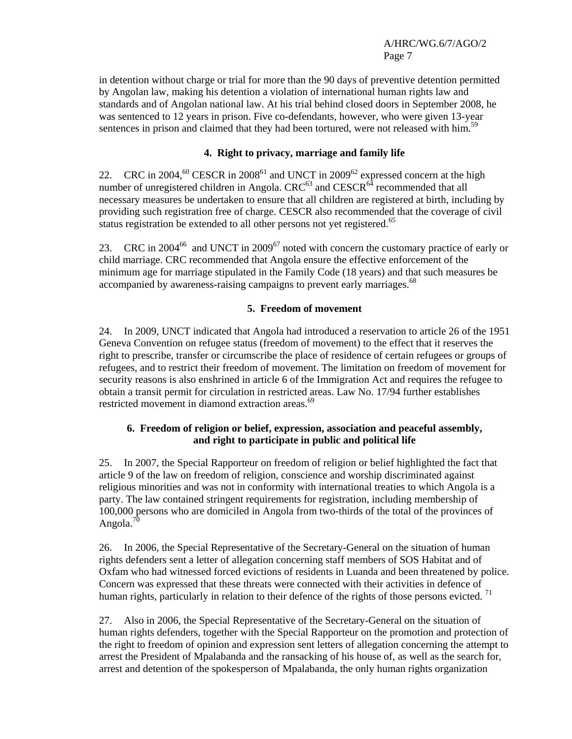in detention without charge or trial for more than the 90 days of preventive detention permitted by Angolan law, making his detention a violation of international human rights law and standards and of Angolan national law. At his trial behind closed doors in September 2008, he was sentenced to 12 years in prison. Five co-defendants, however, who were given 13-year sentences in prison and claimed that they had been tortured, were not released with him.<sup>59</sup>

# **4. Right to privacy, marriage and family life**

22. CRC in 2004,<sup>60</sup> CESCR in 2008<sup>61</sup> and UNCT in 2009<sup>62</sup> expressed concern at the high number of unregistered children in Angola.  $CRC^{63}$  and  $CESCR^{64}$  recommended that all necessary measures be undertaken to ensure that all children are registered at birth, including by providing such registration free of charge. CESCR also recommended that the coverage of civil status registration be extended to all other persons not yet registered.<sup>65</sup>

23. CRC in 2004<sup>66</sup> and UNCT in 2009<sup>67</sup> noted with concern the customary practice of early or child marriage. CRC recommended that Angola ensure the effective enforcement of the minimum age for marriage stipulated in the Family Code (18 years) and that such measures be accompanied by awareness-raising campaigns to prevent early marriages.<sup>68</sup>

## **5. Freedom of movement**

24. In 2009, UNCT indicated that Angola had introduced a reservation to article 26 of the 1951 Geneva Convention on refugee status (freedom of movement) to the effect that it reserves the right to prescribe, transfer or circumscribe the place of residence of certain refugees or groups of refugees, and to restrict their freedom of movement. The limitation on freedom of movement for security reasons is also enshrined in article 6 of the Immigration Act and requires the refugee to obtain a transit permit for circulation in restricted areas. Law No. 17/94 further establishes restricted movement in diamond extraction areas.<sup>69</sup>

## **6. Freedom of religion or belief, expression, association and peaceful assembly, and right to participate in public and political life**

25. In 2007, the Special Rapporteur on freedom of religion or belief highlighted the fact that article 9 of the law on freedom of religion, conscience and worship discriminated against religious minorities and was not in conformity with international treaties to which Angola is a party. The law contained stringent requirements for registration, including membership of 100,000 persons who are domiciled in Angola from two-thirds of the total of the provinces of Angola. $<sup>7</sup>$ </sup>

26. In 2006, the Special Representative of the Secretary-General on the situation of human rights defenders sent a letter of allegation concerning staff members of SOS Habitat and of Oxfam who had witnessed forced evictions of residents in Luanda and been threatened by police. Concern was expressed that these threats were connected with their activities in defence of human rights, particularly in relation to their defence of the rights of those persons evicted.<sup>71</sup>

27. Also in 2006, the Special Representative of the Secretary-General on the situation of human rights defenders, together with the Special Rapporteur on the promotion and protection of the right to freedom of opinion and expression sent letters of allegation concerning the attempt to arrest the President of Mpalabanda and the ransacking of his house of, as well as the search for, arrest and detention of the spokesperson of Mpalabanda, the only human rights organization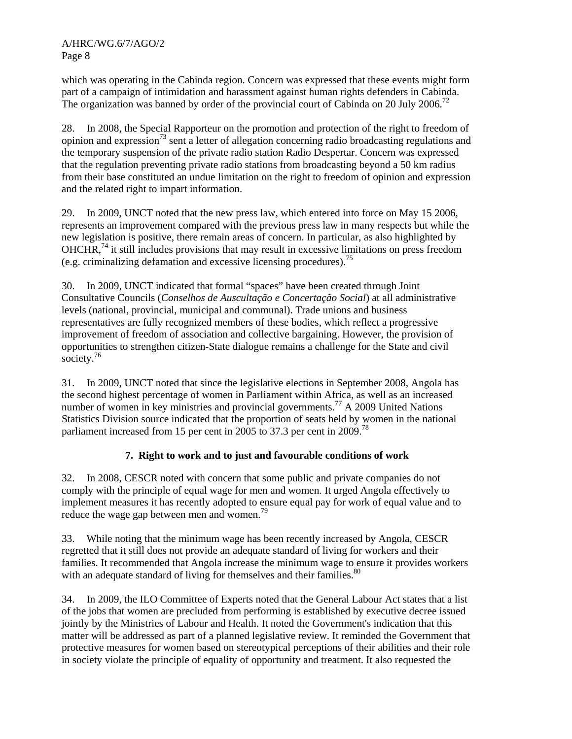which was operating in the Cabinda region. Concern was expressed that these events might form part of a campaign of intimidation and harassment against human rights defenders in Cabinda. The organization was banned by order of the provincial court of Cabinda on 20 July 2006.<sup>72</sup>

28. In 2008, the Special Rapporteur on the promotion and protection of the right to freedom of opinion and expression<sup>73</sup> sent a letter of allegation concerning radio broadcasting regulations and the temporary suspension of the private radio station Radio Despertar. Concern was expressed that the regulation preventing private radio stations from broadcasting beyond a 50 km radius from their base constituted an undue limitation on the right to freedom of opinion and expression and the related right to impart information.

29. In 2009, UNCT noted that the new press law, which entered into force on May 15 2006, represents an improvement compared with the previous press law in many respects but while the new legislation is positive, there remain areas of concern. In particular, as also highlighted by  $OHCHR<sup>74</sup>$  it still includes provisions that may result in excessive limitations on press freedom (e.g. criminalizing defamation and excessive licensing procedures).<sup>75</sup>

30. In 2009, UNCT indicated that formal "spaces" have been created through Joint Consultative Councils (*Conselhos de Auscultação e Concertação Social*) at all administrative levels (national, provincial, municipal and communal). Trade unions and business representatives are fully recognized members of these bodies, which reflect a progressive improvement of freedom of association and collective bargaining. However, the provision of opportunities to strengthen citizen-State dialogue remains a challenge for the State and civil society.<sup>76</sup>

31. In 2009, UNCT noted that since the legislative elections in September 2008, Angola has the second highest percentage of women in Parliament within Africa, as well as an increased number of women in key ministries and provincial governments.<sup>77</sup> A 2009 United Nations Statistics Division source indicated that the proportion of seats held by women in the national parliament increased from 15 per cent in 2005 to 37.3 per cent in 2009.<sup>78</sup>

## **7. Right to work and to just and favourable conditions of work**

32. In 2008, CESCR noted with concern that some public and private companies do not comply with the principle of equal wage for men and women. It urged Angola effectively to implement measures it has recently adopted to ensure equal pay for work of equal value and to reduce the wage gap between men and women.<sup>79</sup>

33. While noting that the minimum wage has been recently increased by Angola, CESCR regretted that it still does not provide an adequate standard of living for workers and their families. It recommended that Angola increase the minimum wage to ensure it provides workers with an adequate standard of living for themselves and their families.<sup>80</sup>

34. In 2009, the ILO Committee of Experts noted that the General Labour Act states that a list of the jobs that women are precluded from performing is established by executive decree issued jointly by the Ministries of Labour and Health. It noted the Government's indication that this matter will be addressed as part of a planned legislative review. It reminded the Government that protective measures for women based on stereotypical perceptions of their abilities and their role in society violate the principle of equality of opportunity and treatment. It also requested the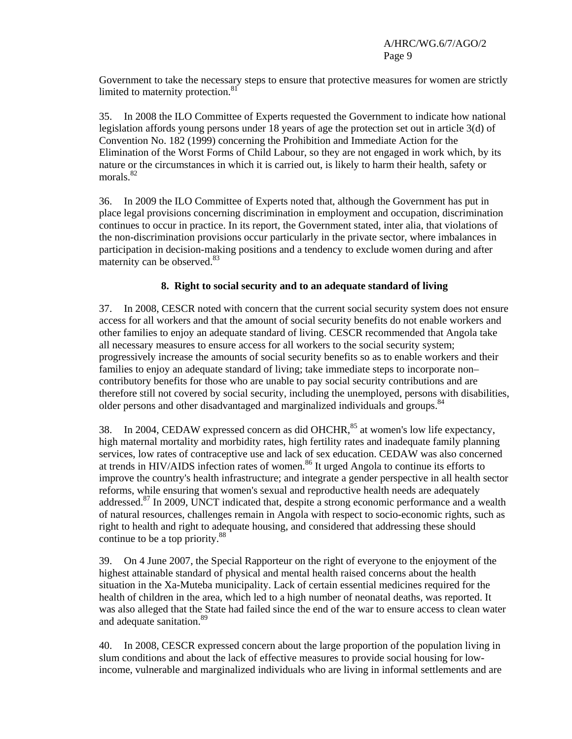Government to take the necessary steps to ensure that protective measures for women are strictly limited to maternity protection.<sup>81</sup>

35. In 2008 the ILO Committee of Experts requested the Government to indicate how national legislation affords young persons under 18 years of age the protection set out in article 3(d) of Convention No. 182 (1999) concerning the Prohibition and Immediate Action for the Elimination of the Worst Forms of Child Labour, so they are not engaged in work which, by its nature or the circumstances in which it is carried out, is likely to harm their health, safety or morals.<sup>82</sup>

36. In 2009 the ILO Committee of Experts noted that, although the Government has put in place legal provisions concerning discrimination in employment and occupation, discrimination continues to occur in practice. In its report, the Government stated, inter alia, that violations of the non-discrimination provisions occur particularly in the private sector, where imbalances in participation in decision-making positions and a tendency to exclude women during and after maternity can be observed. $83$ 

## **8. Right to social security and to an adequate standard of living**

37. In 2008, CESCR noted with concern that the current social security system does not ensure access for all workers and that the amount of social security benefits do not enable workers and other families to enjoy an adequate standard of living. CESCR recommended that Angola take all necessary measures to ensure access for all workers to the social security system; progressively increase the amounts of social security benefits so as to enable workers and their families to enjoy an adequate standard of living; take immediate steps to incorporate non– contributory benefits for those who are unable to pay social security contributions and are therefore still not covered by social security, including the unemployed, persons with disabilities, older persons and other disadvantaged and marginalized individuals and groups.<sup>84</sup>

38. In 2004, CEDAW expressed concern as did OHCHR,<sup>85</sup> at women's low life expectancy, high maternal mortality and morbidity rates, high fertility rates and inadequate family planning services, low rates of contraceptive use and lack of sex education. CEDAW was also concerned at trends in HIV/AIDS infection rates of women.<sup>86</sup> It urged Angola to continue its efforts to improve the country's health infrastructure; and integrate a gender perspective in all health sector reforms, while ensuring that women's sexual and reproductive health needs are adequately addressed.<sup>87</sup> In 2009, UNCT indicated that, despite a strong economic performance and a wealth of natural resources, challenges remain in Angola with respect to socio-economic rights, such as right to health and right to adequate housing, and considered that addressing these should continue to be a top priority.<sup>88</sup>

39. On 4 June 2007, the Special Rapporteur on the right of everyone to the enjoyment of the highest attainable standard of physical and mental health raised concerns about the health situation in the Xa-Muteba municipality. Lack of certain essential medicines required for the health of children in the area, which led to a high number of neonatal deaths, was reported. It was also alleged that the State had failed since the end of the war to ensure access to clean water and adequate sanitation.<sup>89</sup>

40. In 2008, CESCR expressed concern about the large proportion of the population living in slum conditions and about the lack of effective measures to provide social housing for lowincome, vulnerable and marginalized individuals who are living in informal settlements and are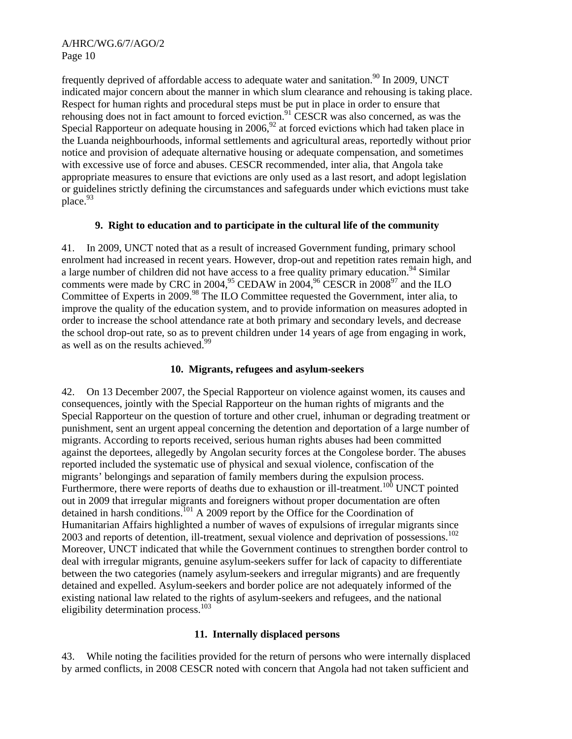frequently deprived of affordable access to adequate water and sanitation.<sup>90</sup> In 2009, UNCT indicated major concern about the manner in which slum clearance and rehousing is taking place. Respect for human rights and procedural steps must be put in place in order to ensure that rehousing does not in fact amount to forced eviction.<sup>91</sup> CESCR was also concerned, as was the Special Rapporteur on adequate housing in  $2006<sup>92</sup>$  at forced evictions which had taken place in the Luanda neighbourhoods, informal settlements and agricultural areas, reportedly without prior notice and provision of adequate alternative housing or adequate compensation, and sometimes with excessive use of force and abuses. CESCR recommended, inter alia, that Angola take appropriate measures to ensure that evictions are only used as a last resort, and adopt legislation or guidelines strictly defining the circumstances and safeguards under which evictions must take place.<sup>93</sup>

## **9. Right to education and to participate in the cultural life of the community**

41. In 2009, UNCT noted that as a result of increased Government funding, primary school enrolment had increased in recent years. However, drop-out and repetition rates remain high, and a large number of children did not have access to a free quality primary education.<sup>94</sup> Similar comments were made by CRC in 2004,<sup>95</sup> CEDAW in 2004,<sup>96</sup> CESCR in 2008<sup>97</sup> and the ILO Committee of Experts in 2009.<sup>98</sup> The ILO Committee requested the Government, inter alia, to improve the quality of the education system, and to provide information on measures adopted in order to increase the school attendance rate at both primary and secondary levels, and decrease the school drop-out rate, so as to prevent children under 14 years of age from engaging in work, as well as on the results achieved.<sup>99</sup>

## **10. Migrants, refugees and asylum-seekers**

42. On 13 December 2007, the Special Rapporteur on violence against women, its causes and consequences, jointly with the Special Rapporteur on the human rights of migrants and the Special Rapporteur on the question of torture and other cruel, inhuman or degrading treatment or punishment, sent an urgent appeal concerning the detention and deportation of a large number of migrants. According to reports received, serious human rights abuses had been committed against the deportees, allegedly by Angolan security forces at the Congolese border. The abuses reported included the systematic use of physical and sexual violence, confiscation of the migrants' belongings and separation of family members during the expulsion process. Furthermore, there were reports of deaths due to exhaustion or ill-treatment.<sup>100</sup> UNCT pointed out in 2009 that irregular migrants and foreigners without proper documentation are often detained in harsh conditions.<sup>101</sup> A 2009 report by the Office for the Coordination of Humanitarian Affairs highlighted a number of waves of expulsions of irregular migrants since 2003 and reports of detention, ill-treatment, sexual violence and deprivation of possessions.<sup>102</sup> Moreover, UNCT indicated that while the Government continues to strengthen border control to deal with irregular migrants, genuine asylum-seekers suffer for lack of capacity to differentiate between the two categories (namely asylum-seekers and irregular migrants) and are frequently detained and expelled. Asylum-seekers and border police are not adequately informed of the existing national law related to the rights of asylum-seekers and refugees, and the national eligibility determination process.<sup>103</sup>

## **11. Internally displaced persons**

43. While noting the facilities provided for the return of persons who were internally displaced by armed conflicts, in 2008 CESCR noted with concern that Angola had not taken sufficient and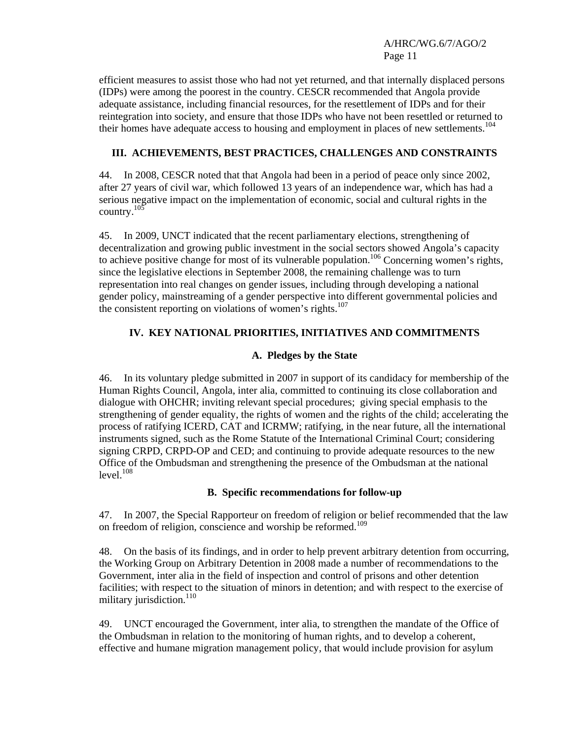efficient measures to assist those who had not yet returned, and that internally displaced persons (IDPs) were among the poorest in the country. CESCR recommended that Angola provide adequate assistance, including financial resources, for the resettlement of IDPs and for their reintegration into society, and ensure that those IDPs who have not been resettled or returned to their homes have adequate access to housing and employment in places of new settlements.<sup>104</sup>

# **III. ACHIEVEMENTS, BEST PRACTICES, CHALLENGES AND CONSTRAINTS**

44. In 2008, CESCR noted that that Angola had been in a period of peace only since 2002, after 27 years of civil war, which followed 13 years of an independence war, which has had a serious negative impact on the implementation of economic, social and cultural rights in the country. $10\overline{5}$ 

45. In 2009, UNCT indicated that the recent parliamentary elections, strengthening of decentralization and growing public investment in the social sectors showed Angola's capacity to achieve positive change for most of its vulnerable population.<sup>106</sup> Concerning women's rights, since the legislative elections in September 2008, the remaining challenge was to turn representation into real changes on gender issues, including through developing a national gender policy, mainstreaming of a gender perspective into different governmental policies and the consistent reporting on violations of women's rights.<sup>107</sup>

# **IV. KEY NATIONAL PRIORITIES, INITIATIVES AND COMMITMENTS**

## **A. Pledges by the State**

46. In its voluntary pledge submitted in 2007 in support of its candidacy for membership of the Human Rights Council, Angola, inter alia, committed to continuing its close collaboration and dialogue with OHCHR; inviting relevant special procedures; giving special emphasis to the strengthening of gender equality, the rights of women and the rights of the child; accelerating the process of ratifying ICERD, CAT and ICRMW; ratifying, in the near future, all the international instruments signed, such as the Rome Statute of the International Criminal Court; considering signing CRPD, CRPD-OP and CED; and continuing to provide adequate resources to the new Office of the Ombudsman and strengthening the presence of the Ombudsman at the national  $level.<sup>108</sup>$ 

## **B. Specific recommendations for follow-up**

47. In 2007, the Special Rapporteur on freedom of religion or belief recommended that the law on freedom of religion, conscience and worship be reformed.<sup>109</sup>

48. On the basis of its findings, and in order to help prevent arbitrary detention from occurring, the Working Group on Arbitrary Detention in 2008 made a number of recommendations to the Government, inter alia in the field of inspection and control of prisons and other detention facilities; with respect to the situation of minors in detention; and with respect to the exercise of military jurisdiction. $110$ 

49. UNCT encouraged the Government, inter alia, to strengthen the mandate of the Office of the Ombudsman in relation to the monitoring of human rights, and to develop a coherent, effective and humane migration management policy, that would include provision for asylum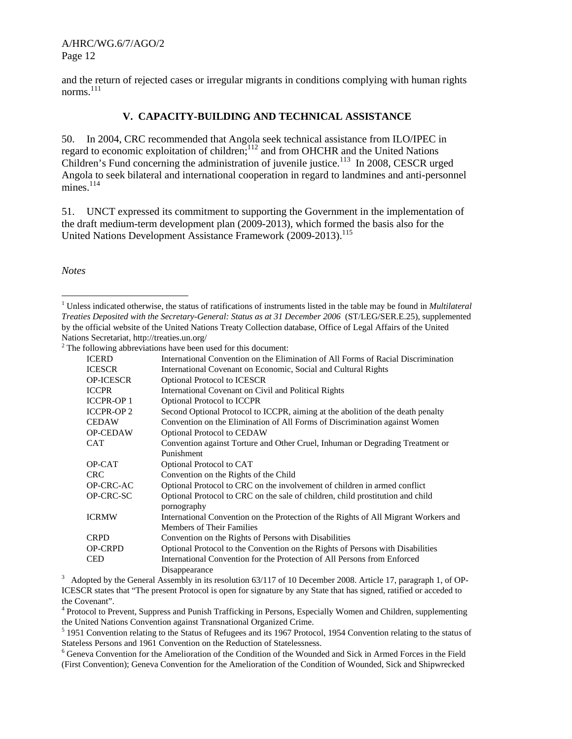and the return of rejected cases or irregular migrants in conditions complying with human rights norms. 111

#### **V. CAPACITY-BUILDING AND TECHNICAL ASSISTANCE**

50. In 2004, CRC recommended that Angola seek technical assistance from ILO/IPEC in regard to economic exploitation of children;<sup>112</sup> and from OHCHR and the United Nations Children's Fund concerning the administration of juvenile justice.<sup>113</sup> In 2008, CESCR urged Angola to seek bilateral and international cooperation in regard to landmines and anti-personnel mines.<sup>114</sup>

51. UNCT expressed its commitment to supporting the Government in the implementation of the draft medium-term development plan (2009-2013), which formed the basis also for the United Nations Development Assistance Framework (2009-2013).<sup>115</sup>

*Notes* 

l

|                   | onowing aboreviations nave been used for this document.                             |
|-------------------|-------------------------------------------------------------------------------------|
| ICERD             | International Convention on the Elimination of All Forms of Racial Discrimination   |
| <b>ICESCR</b>     | International Covenant on Economic, Social and Cultural Rights                      |
| <b>OP-ICESCR</b>  | <b>Optional Protocol to ICESCR</b>                                                  |
| <b>ICCPR</b>      | International Covenant on Civil and Political Rights                                |
| <b>ICCPR-OP 1</b> | <b>Optional Protocol to ICCPR</b>                                                   |
| <b>ICCPR-OP2</b>  | Second Optional Protocol to ICCPR, aiming at the abolition of the death penalty     |
| CEDAW             | Convention on the Elimination of All Forms of Discrimination against Women          |
| OP-CEDAW          | <b>Optional Protocol to CEDAW</b>                                                   |
| CAT               | Convention against Torture and Other Cruel, Inhuman or Degrading Treatment or       |
|                   | Punishment                                                                          |
| OP-CAT            | Optional Protocol to CAT                                                            |
| CRC               | Convention on the Rights of the Child                                               |
| OP-CRC-AC         | Optional Protocol to CRC on the involvement of children in armed conflict           |
| OP-CRC-SC         | Optional Protocol to CRC on the sale of children, child prostitution and child      |
|                   | pornography                                                                         |
| <b>ICRMW</b>      | International Convention on the Protection of the Rights of All Migrant Workers and |
|                   | <b>Members of Their Families</b>                                                    |
| CRPD              | Convention on the Rights of Persons with Disabilities                               |
| OP-CRPD           | Optional Protocol to the Convention on the Rights of Persons with Disabilities      |
| CED               | International Convention for the Protection of All Persons from Enforced            |
|                   | Disappearance                                                                       |

Disappearance<br>
<sup>3</sup> Adopted by the General Assembly in its resolution 63/117 of 10 December 2008. Article 17, paragraph 1, of OP-ICESCR states that "The present Protocol is open for signature by any State that has signed, ratified or acceded to the Covenant".

<sup>4</sup> Protocol to Prevent, Suppress and Punish Trafficking in Persons, Especially Women and Children, supplementing the United Nations Convention against Transnational Organized Crime.

<sup>5</sup> 1951 Convention relating to the Status of Refugees and its 1967 Protocol, 1954 Convention relating to the status of Stateless Persons and 1961 Convention on the Reduction of Statelessness.

<sup>6</sup> Geneva Convention for the Amelioration of the Condition of the Wounded and Sick in Armed Forces in the Field (First Convention); Geneva Convention for the Amelioration of the Condition of Wounded, Sick and Shipwrecked

<sup>&</sup>lt;sup>1</sup> Unless indicated otherwise, the status of ratifications of instruments listed in the table may be found in *Multilateral Treaties Deposited with the Secretary-General: Status as at 31 December 2006* (ST/LEG/SER.E.25), supplemented by the official website of the United Nations Treaty Collection database, Office of Legal Affairs of the United Nations Secretariat, http://treaties.un.org/

 $2^2$  The following abbreviations have been used for this document: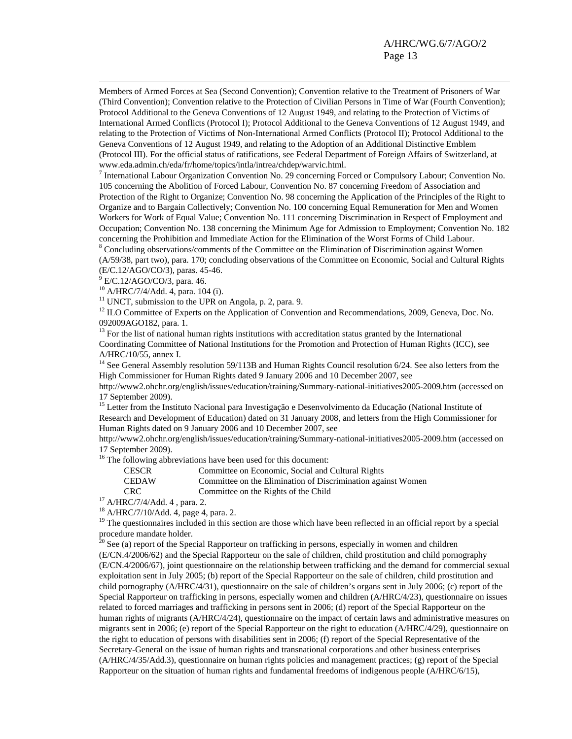Members of Armed Forces at Sea (Second Convention); Convention relative to the Treatment of Prisoners of War (Third Convention); Convention relative to the Protection of Civilian Persons in Time of War (Fourth Convention); Protocol Additional to the Geneva Conventions of 12 August 1949, and relating to the Protection of Victims of International Armed Conflicts (Protocol I); Protocol Additional to the Geneva Conventions of 12 August 1949, and relating to the Protection of Victims of Non-International Armed Conflicts (Protocol II); Protocol Additional to the Geneva Conventions of 12 August 1949, and relating to the Adoption of an Additional Distinctive Emblem (Protocol III). For the official status of ratifications, see Federal Department of Foreign Affairs of Switzerland, at www.eda.admin.ch/eda/fr/home/topics/intla/intrea/chdep/warvic.html.

<sup>7</sup> International Labour Organization Convention No. 29 concerning Forced or Compulsory Labour; Convention No. 105 concerning the Abolition of Forced Labour, Convention No. 87 concerning Freedom of Association and Protection of the Right to Organize; Convention No. 98 concerning the Application of the Principles of the Right to Organize and to Bargain Collectively; Convention No. 100 concerning Equal Remuneration for Men and Women Workers for Work of Equal Value; Convention No. 111 concerning Discrimination in Respect of Employment and Occupation; Convention No. 138 concerning the Minimum Age for Admission to Employment; Convention No. 182 concerning the Prohibition and Immediate Action for the Elimination of the Worst Forms of Child Labour. <sup>8</sup> Concluding observations/comments of the Committee on the Elimination of Discrimination against Women

(A/59/38, part two), para. 170; concluding observations of the Committee on Economic, Social and Cultural Rights (E/C.12/AGO/CO/3), paras. 45-46.

9 E/C.12/AGO/CO/3, para. 46.

-

10 A/HRC/7/4/Add. 4, para. 104 (i).

 $11$  UNCT, submission to the UPR on Angola, p. 2, para. 9.

<sup>12</sup> ILO Committee of Experts on the Application of Convention and Recommendations, 2009, Geneva, Doc. No. 092009AGO182, para. 1.

 $13$  For the list of national human rights institutions with accreditation status granted by the International Coordinating Committee of National Institutions for the Promotion and Protection of Human Rights (ICC), see A/HRC/10/55, annex I.

<sup>14</sup> See General Assembly resolution 59/113B and Human Rights Council resolution 6/24. See also letters from the High Commissioner for Human Rights dated 9 January 2006 and 10 December 2007, see

http://www2.ohchr.org/english/issues/education/training/Summary-national-initiatives2005-2009.htm (accessed on 17 September 2009).

<sup>15</sup> Letter from the Instituto Nacional para Investigação e Desenvolvimento da Educação (National Institute of Research and Development of Education) dated on 31 January 2008, and letters from the High Commissioner for Human Rights dated on 9 January 2006 and 10 December 2007, see

http://www2.ohchr.org/english/issues/education/training/Summary-national-initiatives2005-2009.htm (accessed on 17 September 2009).

<sup>16</sup> The following abbreviations have been used for this document:

CESCR Committee on Economic, Social and Cultural Rights<br>CEDAW Committee on the Elimination of Discrimination aga

Committee on the Elimination of Discrimination against Women

CRC Committee on the Rights of the Child 17 A/HRC/7/4/Add. 4 , para. 2.

18 A/HRC/7/10/Add. 4, page 4, para. 2.

<sup>19</sup> The questionnaires included in this section are those which have been reflected in an official report by a special procedure mandate holder.

 $20$  See (a) report of the Special Rapporteur on trafficking in persons, especially in women and children (E/CN.4/2006/62) and the Special Rapporteur on the sale of children, child prostitution and child pornography (E/CN.4/2006/67), joint questionnaire on the relationship between trafficking and the demand for commercial sexual exploitation sent in July 2005; (b) report of the Special Rapporteur on the sale of children, child prostitution and child pornography (A/HRC/4/31), questionnaire on the sale of children's organs sent in July 2006; (c) report of the Special Rapporteur on trafficking in persons, especially women and children (A/HRC/4/23), questionnaire on issues related to forced marriages and trafficking in persons sent in 2006; (d) report of the Special Rapporteur on the human rights of migrants (A/HRC/4/24), questionnaire on the impact of certain laws and administrative measures on migrants sent in 2006; (e) report of the Special Rapporteur on the right to education (A/HRC/4/29), questionnaire on the right to education of persons with disabilities sent in 2006; (f) report of the Special Representative of the Secretary-General on the issue of human rights and transnational corporations and other business enterprises (A/HRC/4/35/Add.3), questionnaire on human rights policies and management practices; (g) report of the Special Rapporteur on the situation of human rights and fundamental freedoms of indigenous people (A/HRC/6/15),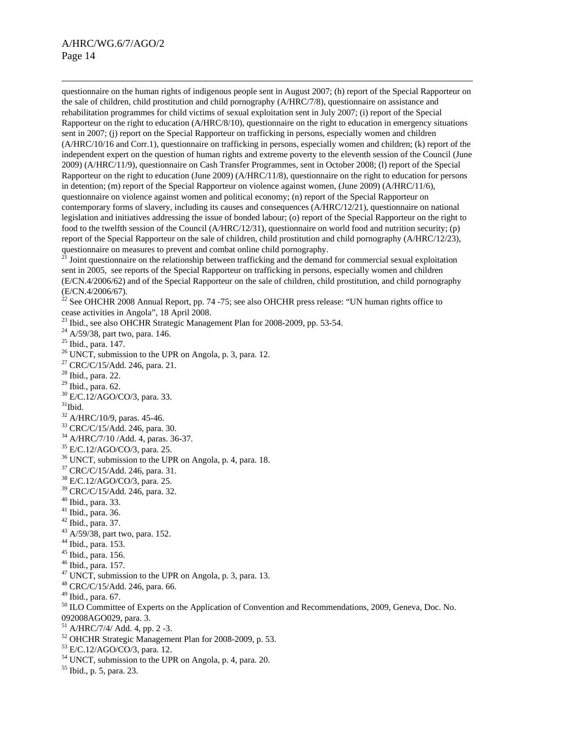$\overline{a}$ 

questionnaire on the human rights of indigenous people sent in August 2007; (h) report of the Special Rapporteur on the sale of children, child prostitution and child pornography (A/HRC/7/8), questionnaire on assistance and rehabilitation programmes for child victims of sexual exploitation sent in July 2007; (i) report of the Special Rapporteur on the right to education (A/HRC/8/10), questionnaire on the right to education in emergency situations sent in 2007; (j) report on the Special Rapporteur on trafficking in persons, especially women and children (A/HRC/10/16 and Corr.1), questionnaire on trafficking in persons, especially women and children; (k) report of the independent expert on the question of human rights and extreme poverty to the eleventh session of the Council (June 2009) (A/HRC/11/9), questionnaire on Cash Transfer Programmes, sent in October 2008; (l) report of the Special Rapporteur on the right to education (June 2009) (A/HRC/11/8), questionnaire on the right to education for persons in detention; (m) report of the Special Rapporteur on violence against women, (June 2009) (A/HRC/11/6), questionnaire on violence against women and political economy; (n) report of the Special Rapporteur on contemporary forms of slavery, including its causes and consequences (A/HRC/12/21), questionnaire on national legislation and initiatives addressing the issue of bonded labour; (o) report of the Special Rapporteur on the right to food to the twelfth session of the Council (A/HRC/12/31), questionnaire on world food and nutrition security; (p) report of the Special Rapporteur on the sale of children, child prostitution and child pornography (A/HRC/12/23), questionnaire on measures to prevent and combat online child pornography.

<sup>21</sup> Joint questionnaire on the relationship between trafficking and the demand for commercial sexual exploitation sent in 2005, see reports of the Special Rapporteur on trafficking in persons, especially women and children (E/CN.4/2006/62) and of the Special Rapporteur on the sale of children, child prostitution, and child pornography (E/CN.4/2006/67).

 $^{22}$  See OHCHR 2008 Annual Report, pp. 74 -75; see also OHCHR press release: "UN human rights office to cease activities in Angola", 18 April 2008.

 $^{23}$  Ibid., see also OHCHR Strategic Management Plan for 2008-2009, pp. 53-54.

 $^{24}$  A/59/38, part two, para. 146.

- 25 Ibid., para. 147.
- $26$  UNCT, submission to the UPR on Angola, p. 3, para. 12.
- 27 CRC/C/15/Add. 246, para. 21.
- 28 Ibid., para. 22.
- $29$  Ibid., para. 62.
- 30 E/C.12/AGO/CO/3, para. 33.
- $31$ Ibid.
- $32$  A/HRC/10/9, paras. 45-46.
- 33 CRC/C/15/Add. 246, para. 30.
- 34 A/HRC/7/10 /Add. 4, paras. 36-37.
- 35 E/C.12/AGO/CO/3, para. 25.
- 36 UNCT, submission to the UPR on Angola, p. 4, para. 18.
- 37 CRC/C/15/Add. 246, para. 31.
- 38 E/C.12/AGO/CO/3, para. 25.
- 39 CRC/C/15/Add. 246, para. 32.
- 40 Ibid., para. 33.
- 41 Ibid., para. 36.
- 42 Ibid., para. 37.
- 43 A/59/38, part two, para. 152.
- 44 Ibid., para. 153.
- 45 Ibid., para. 156.
- 46 Ibid., para. 157.
- $47$  UNCT, submission to the UPR on Angola, p. 3, para. 13.
- 48 CRC/C/15/Add. 246, para. 66.
- 49 Ibid., para. 67.
- <sup>50</sup> ILO Committee of Experts on the Application of Convention and Recommendations, 2009, Geneva, Doc. No. 092008AGO029, para. 3.
- $51$  A/HRC/7/4/ Add. 4, pp. 2 -3.
- 52 OHCHR Strategic Management Plan for 2008-2009, p. 53.
- 53 E/C.12/AGO/CO/3, para. 12.
- 54 UNCT, submission to the UPR on Angola, p. 4, para. 20.
- 55 Ibid., p. 5, para. 23.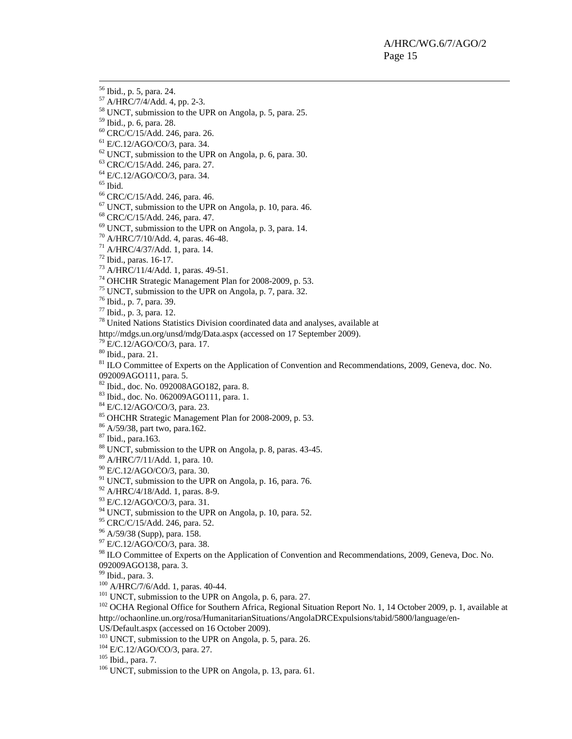56 Ibid., p. 5, para. 24.

57 A/HRC/7/4/Add. 4, pp. 2-3.

58 UNCT, submission to the UPR on Angola, p. 5, para. 25.

59 Ibid., p. 6, para. 28.

60 CRC/C/15/Add. 246, para. 26.

61 E/C.12/AGO/CO/3, para. 34.

 $62$  UNCT, submission to the UPR on Angola, p. 6, para. 30.

63 CRC/C/15/Add. 246, para. 27.

64 E/C.12/AGO/CO/3, para. 34.

 $65$  Ibid.

66 CRC/C/15/Add. 246, para. 46.

 $67$  UNCT, submission to the UPR on Angola, p. 10, para. 46.

68 CRC/C/15/Add. 246, para. 47.

 $69$  UNCT, submission to the UPR on Angola, p. 3, para. 14.

70 A/HRC/7/10/Add. 4, paras. 46-48.

71 A/HRC/4/37/Add. 1, para. 14.

 $72$  Ibid., paras. 16-17.

73 A/HRC/11/4/Add. 1, paras. 49-51.

74 OHCHR Strategic Management Plan for 2008-2009, p. 53.

75 UNCT, submission to the UPR on Angola, p. 7, para. 32.

76 Ibid., p. 7, para. 39.

77 Ibid., p. 3, para. 12.

78 United Nations Statistics Division coordinated data and analyses, available at

http://mdgs.un.org/unsd/mdg/Data.aspx (accessed on 17 September 2009).

79 E/C.12/AGO/CO/3, para. 17.

80 Ibid., para. 21.

<sup>81</sup> ILO Committee of Experts on the Application of Convention and Recommendations, 2009, Geneva, doc. No. 092009AGO111, para. 5.

82 Ibid., doc. No. 092008AGO182, para. 8.

83 Ibid., doc. No. 062009AGO111, para. 1.

84 E/C.12/AGO/CO/3, para. 23.

85 OHCHR Strategic Management Plan for 2008-2009, p. 53.

86 A/59/38, part two, para.162.

87 Ibid., para.163.

 $88$  UNCT, submission to the UPR on Angola, p. 8, paras. 43-45.

89 A/HRC/7/11/Add. 1, para. 10.

90 E/C.12/AGO/CO/3, para. 30.

<sup>91</sup> UNCT, submission to the UPR on Angola, p. 16, para. 76.

92 A/HRC/4/18/Add. 1, paras. 8-9.

93 E/C.12/AGO/CO/3, para. 31.

 $94$  UNCT, submission to the UPR on Angola, p. 10, para. 52.

<sup>95</sup> CRC/C/15/Add. 246, para. 52.

96 A/59/38 (Supp), para. 158.

 $97$  E/C.12/AGO/CO/3, para. 38.

<sup>98</sup> ILO Committee of Experts on the Application of Convention and Recommendations, 2009, Geneva, Doc. No.

092009AGO138, para. 3.

<sup>99</sup> Ibid., para. 3.<br><sup>100</sup> A/HRC/7/6/Add. 1, paras. 40-44.

<sup>101</sup> UNCT, submission to the UPR on Angola, p. 6, para. 27.<br><sup>102</sup> OCHA Regional Office for Southern Africa, Regional Situation Report No. 1, 14 October 2009, p. 1, available at http://ochaonline.un.org/rosa/HumanitarianSituations/AngolaDRCExpulsions/tabid/5800/language/en-

US/Default.aspx (accessed on 16 October 2009).

<sup>103</sup> UNCT, submission to the UPR on Angola, p. 5, para. 26.<br><sup>104</sup> E/C.12/AGO/CO/3, para. 27.<br><sup>105</sup> Ibid., para. 7.<br><sup>106</sup> UNCT, submission to the UPR on Angola, p. 13, para. 61.